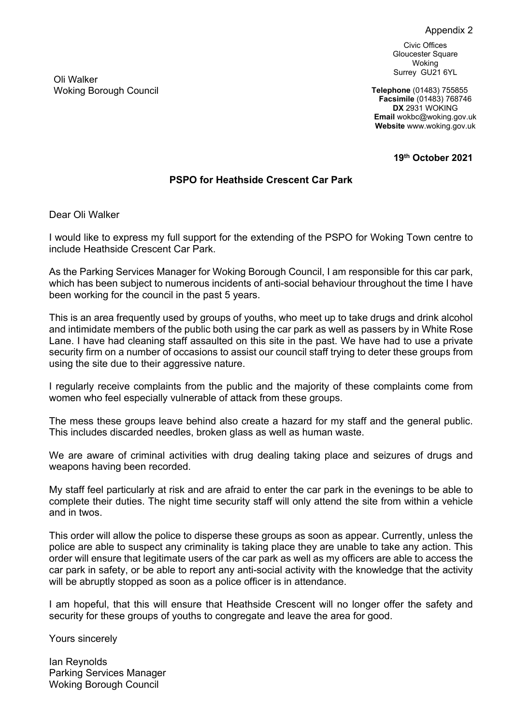## Appendix 2

Civic Offices Gloucester Square Woking Surrey GU21 6YL

**Telephone** (01483) 755855 **Facsimile** (01483) 768746 **DX** 2931 WOKING **Email** wokbc@woking.gov.uk **Website** www.woking.gov.uk

**19th October 2021**

## **PSPO for Heathside Crescent Car Park**

Dear Oli Walker

I would like to express my full support for the extending of the PSPO for Woking Town centre to include Heathside Crescent Car Park.

As the Parking Services Manager for Woking Borough Council, I am responsible for this car park, which has been subject to numerous incidents of anti-social behaviour throughout the time I have been working for the council in the past 5 years.

This is an area frequently used by groups of youths, who meet up to take drugs and drink alcohol and intimidate members of the public both using the car park as well as passers by in White Rose Lane. I have had cleaning staff assaulted on this site in the past. We have had to use a private security firm on a number of occasions to assist our council staff trying to deter these groups from using the site due to their aggressive nature.

I regularly receive complaints from the public and the majority of these complaints come from women who feel especially vulnerable of attack from these groups.

The mess these groups leave behind also create a hazard for my staff and the general public. This includes discarded needles, broken glass as well as human waste.

We are aware of criminal activities with drug dealing taking place and seizures of drugs and weapons having been recorded.

My staff feel particularly at risk and are afraid to enter the car park in the evenings to be able to complete their duties. The night time security staff will only attend the site from within a vehicle and in twos.

This order will allow the police to disperse these groups as soon as appear. Currently, unless the police are able to suspect any criminality is taking place they are unable to take any action. This order will ensure that legitimate users of the car park as well as my officers are able to access the car park in safety, or be able to report any anti-social activity with the knowledge that the activity will be abruptly stopped as soon as a police officer is in attendance.

I am hopeful, that this will ensure that Heathside Crescent will no longer offer the safety and security for these groups of youths to congregate and leave the area for good.

Yours sincerely

Ian Reynolds Parking Services Manager Woking Borough Council

Oli Walker Woking Borough Council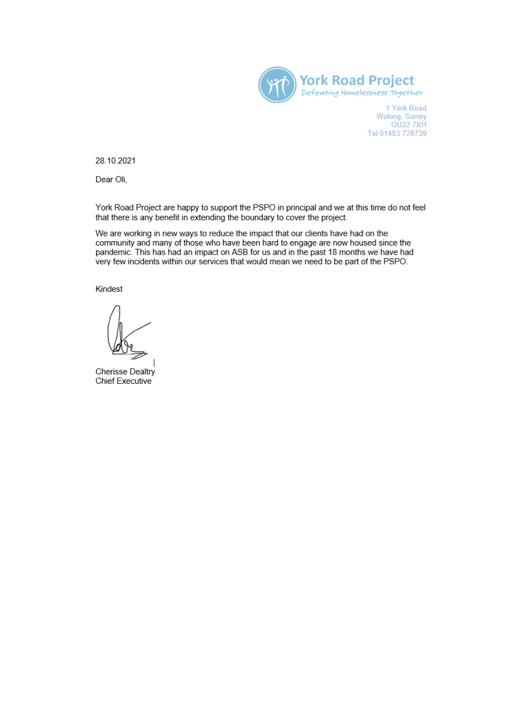

1 York Road Woking, Surrey<br>GU22 7XH Tel 01483 728739

28.10.2021

Dear Oli,

York Road Project are happy to support the PSPO in principal and we at this time do not feel that there is any benefit in extending the boundary to cover the project.

We are working in new ways to reduce the impact that our clients have had on the community and many of those who have been hard to engage are now housed since the pandemic. This has had an impact on ASB for us and in the past 18 months we have had very few incidents within our services that would mean we need to be part of the PSPO.

Kindest

Cherisse Dealtry **Chief Executive**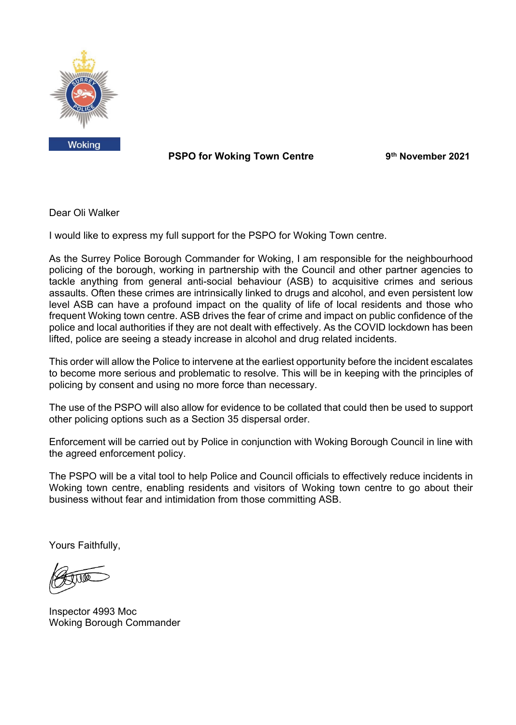

 **PSPO** for Woking Town Centre

**th November 2021**

Dear Oli Walker

I would like to express my full support for the PSPO for Woking Town centre.

As the Surrey Police Borough Commander for Woking, I am responsible for the neighbourhood policing of the borough, working in partnership with the Council and other partner agencies to tackle anything from general anti-social behaviour (ASB) to acquisitive crimes and serious assaults. Often these crimes are intrinsically linked to drugs and alcohol, and even persistent low level ASB can have a profound impact on the quality of life of local residents and those who frequent Woking town centre. ASB drives the fear of crime and impact on public confidence of the police and local authorities if they are not dealt with effectively. As the COVID lockdown has been lifted, police are seeing a steady increase in alcohol and drug related incidents.

This order will allow the Police to intervene at the earliest opportunity before the incident escalates to become more serious and problematic to resolve. This will be in keeping with the principles of policing by consent and using no more force than necessary.

The use of the PSPO will also allow for evidence to be collated that could then be used to support other policing options such as a Section 35 dispersal order.

Enforcement will be carried out by Police in conjunction with Woking Borough Council in line with the agreed enforcement policy.

The PSPO will be a vital tool to help Police and Council officials to effectively reduce incidents in Woking town centre, enabling residents and visitors of Woking town centre to go about their business without fear and intimidation from those committing ASB.

Yours Faithfully,

Inspector 4993 Moc Woking Borough Commander